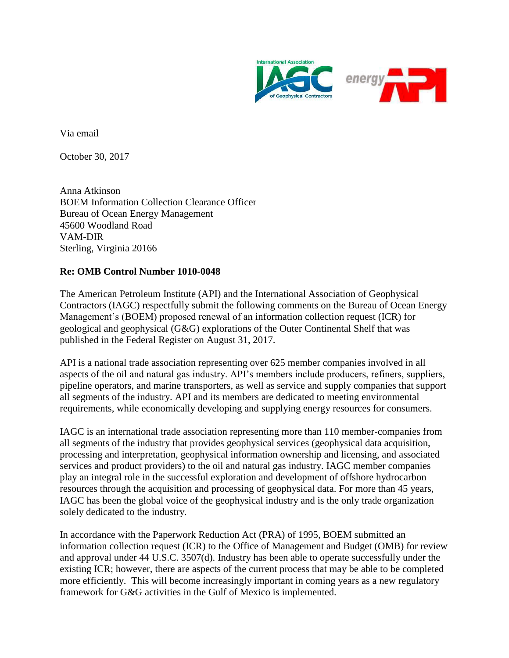

Via email

October 30, 2017

Anna Atkinson BOEM Information Collection Clearance Officer Bureau of Ocean Energy Management 45600 Woodland Road VAM-DIR Sterling, Virginia 20166

## **Re: OMB Control Number 1010-0048**

The American Petroleum Institute (API) and the International Association of Geophysical Contractors (IAGC) respectfully submit the following comments on the Bureau of Ocean Energy Management's (BOEM) proposed renewal of an information collection request (ICR) for geological and geophysical (G&G) explorations of the Outer Continental Shelf that was published in the Federal Register on August 31, 2017.

API is a national trade association representing over 625 member companies involved in all aspects of the oil and natural gas industry. API's members include producers, refiners, suppliers, pipeline operators, and marine transporters, as well as service and supply companies that support all segments of the industry. API and its members are dedicated to meeting environmental requirements, while economically developing and supplying energy resources for consumers.

IAGC is an international trade association representing more than 110 member-companies from all segments of the industry that provides geophysical services (geophysical data acquisition, processing and interpretation, geophysical information ownership and licensing, and associated services and product providers) to the oil and natural gas industry. IAGC member companies play an integral role in the successful exploration and development of offshore hydrocarbon resources through the acquisition and processing of geophysical data. For more than 45 years, IAGC has been the global voice of the geophysical industry and is the only trade organization solely dedicated to the industry.

In accordance with the Paperwork Reduction Act (PRA) of 1995, BOEM submitted an information collection request (ICR) to the Office of Management and Budget (OMB) for review and approval under 44 U.S.C. 3507(d). Industry has been able to operate successfully under the existing ICR; however, there are aspects of the current process that may be able to be completed more efficiently. This will become increasingly important in coming years as a new regulatory framework for G&G activities in the Gulf of Mexico is implemented.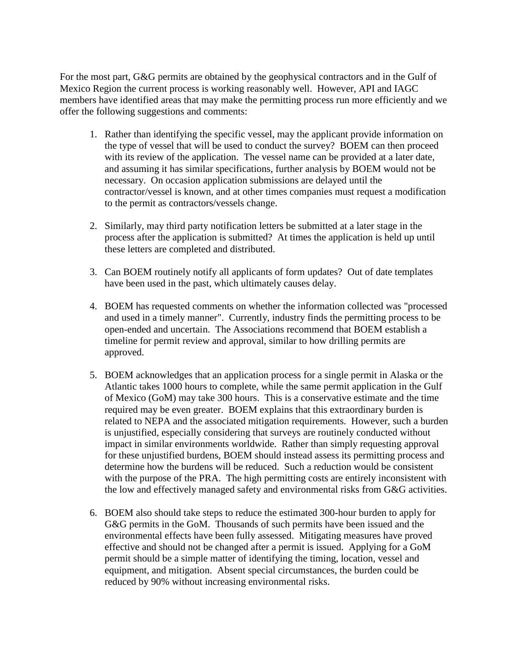For the most part, G&G permits are obtained by the geophysical contractors and in the Gulf of Mexico Region the current process is working reasonably well. However, API and IAGC members have identified areas that may make the permitting process run more efficiently and we offer the following suggestions and comments:

- 1. Rather than identifying the specific vessel, may the applicant provide information on the type of vessel that will be used to conduct the survey? BOEM can then proceed with its review of the application. The vessel name can be provided at a later date, and assuming it has similar specifications, further analysis by BOEM would not be necessary. On occasion application submissions are delayed until the contractor/vessel is known, and at other times companies must request a modification to the permit as contractors/vessels change.
- 2. Similarly, may third party notification letters be submitted at a later stage in the process after the application is submitted? At times the application is held up until these letters are completed and distributed.
- 3. Can BOEM routinely notify all applicants of form updates? Out of date templates have been used in the past, which ultimately causes delay.
- 4. BOEM has requested comments on whether the information collected was "processed and used in a timely manner". Currently, industry finds the permitting process to be open-ended and uncertain. The Associations recommend that BOEM establish a timeline for permit review and approval, similar to how drilling permits are approved.
- 5. BOEM acknowledges that an application process for a single permit in Alaska or the Atlantic takes 1000 hours to complete, while the same permit application in the Gulf of Mexico (GoM) may take 300 hours. This is a conservative estimate and the time required may be even greater. BOEM explains that this extraordinary burden is related to NEPA and the associated mitigation requirements. However, such a burden is unjustified, especially considering that surveys are routinely conducted without impact in similar environments worldwide. Rather than simply requesting approval for these unjustified burdens, BOEM should instead assess its permitting process and determine how the burdens will be reduced. Such a reduction would be consistent with the purpose of the PRA. The high permitting costs are entirely inconsistent with the low and effectively managed safety and environmental risks from G&G activities.
- 6. BOEM also should take steps to reduce the estimated 300-hour burden to apply for G&G permits in the GoM. Thousands of such permits have been issued and the environmental effects have been fully assessed. Mitigating measures have proved effective and should not be changed after a permit is issued. Applying for a GoM permit should be a simple matter of identifying the timing, location, vessel and equipment, and mitigation. Absent special circumstances, the burden could be reduced by 90% without increasing environmental risks.